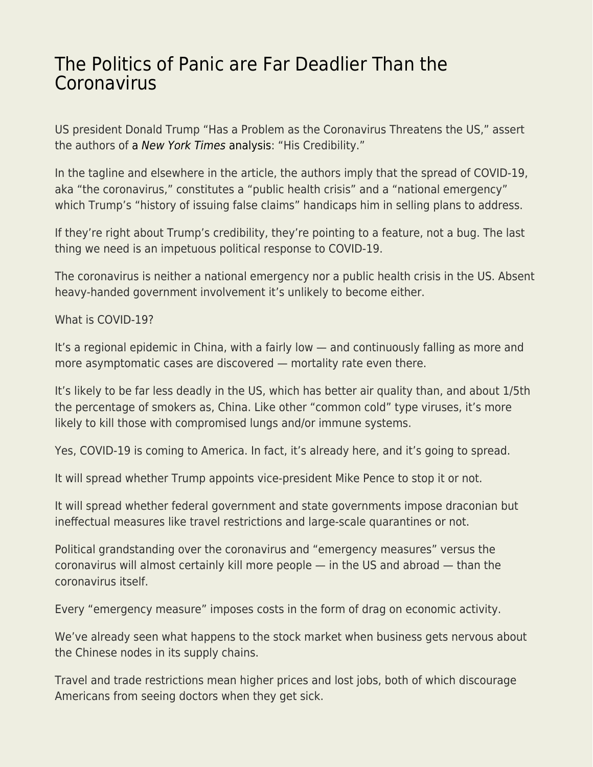## [The Politics of Panic are Far Deadlier Than the](https://everything-voluntary.com/the-politics-of-panic-are-far-deadlier-than-the-coronavirus) [Coronavirus](https://everything-voluntary.com/the-politics-of-panic-are-far-deadlier-than-the-coronavirus)

US president Donald Trump "Has a Problem as the Coronavirus Threatens the US," assert the authors of [a](https://www.nytimes.com/2020/02/26/us/politics/trump-coronavirus-credibility.html) [New York Times](https://www.nytimes.com/2020/02/26/us/politics/trump-coronavirus-credibility.html) [analysis](https://www.nytimes.com/2020/02/26/us/politics/trump-coronavirus-credibility.html): "His Credibility."

In the tagline and elsewhere in the article, the authors imply that the spread of COVID-19, aka "the coronavirus," constitutes a "public health crisis" and a "national emergency" which Trump's "history of issuing false claims" handicaps him in selling plans to address.

If they're right about Trump's credibility, they're pointing to a feature, not a bug. The last thing we need is an impetuous political response to COVID-19.

The coronavirus is neither a national emergency nor a public health crisis in the US. Absent heavy-handed government involvement it's unlikely to become either.

What is COVID-19?

It's a regional epidemic in China, with a fairly low — and continuously falling as more and more asymptomatic cases are discovered — mortality rate even there.

It's likely to be far less deadly in the US, which has better air quality than, and about 1/5th the percentage of smokers as, China. Like other "common cold" type viruses, it's more likely to kill those with compromised lungs and/or immune systems.

Yes, COVID-19 is coming to America. In fact, it's already here, and it's going to spread.

It will spread whether Trump appoints vice-president Mike Pence to stop it or not.

It will spread whether federal government and state governments impose draconian but ineffectual measures like travel restrictions and large-scale quarantines or not.

Political grandstanding over the coronavirus and "emergency measures" versus the coronavirus will almost certainly kill more people — in the US and abroad — than the coronavirus itself.

Every "emergency measure" imposes costs in the form of drag on economic activity.

We've already seen what happens to the stock market when business gets nervous about the Chinese nodes in its supply chains.

Travel and trade restrictions mean higher prices and lost jobs, both of which discourage Americans from seeing doctors when they get sick.